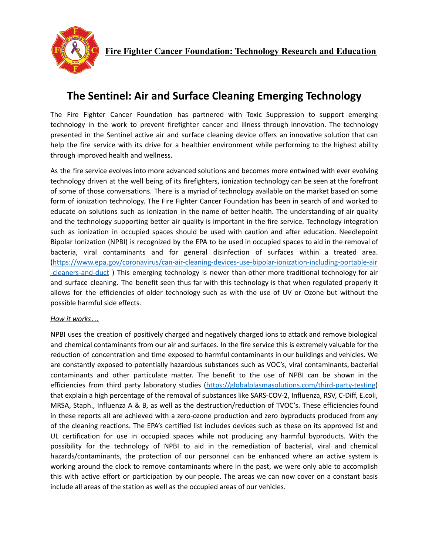

## **The Sentinel: Air and Surface Cleaning Emerging Technology**

The Fire Fighter Cancer Foundation has partnered with Toxic Suppression to support emerging technology in the work to prevent firefighter cancer and illness through innovation. The technology presented in the Sentinel active air and surface cleaning device offers an innovative solution that can help the fire service with its drive for a healthier environment while performing to the highest ability through improved health and wellness.

As the fire service evolves into more advanced solutions and becomes more entwined with ever evolving technology driven at the well being of its firefighters, ionization technology can be seen at the forefront of some of those conversations. There is a myriad of technology available on the market based on some form of ionization technology. The Fire Fighter Cancer Foundation has been in search of and worked to educate on solutions such as ionization in the name of better health. The understanding of air quality and the technology supporting better air quality is important in the fire service. Technology integration such as ionization in occupied spaces should be used with caution and after education. Needlepoint Bipolar Ionization (NPBI) is recognized by the EPA to be used in occupied spaces to aid in the removal of bacteria, viral contaminants and for general disinfection of surfaces within a treated area. [\(https://www.epa.gov/coronavirus/can-air-cleaning-devices-use-bipolar-ionization-including-portable-air](https://www.epa.gov/coronavirus/can-air-cleaning-devices-use-bipolar-ionization-including-portable-air-cleaners-and-duct) [-cleaners-and-duct](https://www.epa.gov/coronavirus/can-air-cleaning-devices-use-bipolar-ionization-including-portable-air-cleaners-and-duct) ) This emerging technology is newer than other more traditional technology for air and surface cleaning. The benefit seen thus far with this technology is that when regulated properly it allows for the efficiencies of older technology such as with the use of UV or Ozone but without the possible harmful side effects.

## *How it works…*

NPBI uses the creation of positively charged and negatively charged ions to attack and remove biological and chemical contaminants from our air and surfaces. In the fire service this is extremely valuable for the reduction of concentration and time exposed to harmful contaminants in our buildings and vehicles. We are constantly exposed to potentially hazardous substances such as VOC's, viral contaminants, bacterial contaminants and other particulate matter. The benefit to the use of NPBI can be shown in the efficiencies from third party laboratory studies [\(https://globalplasmasolutions.com/third-party-testing](https://globalplasmasolutions.com/third-party-testing)) that explain a high percentage of the removal of substances like SARS-COV-2, Influenza, RSV, C-Diff, E.coli, MRSA, Staph., Influenza A & B, as well as the destruction/reduction of TVOC's. These efficiencies found in these reports all are achieved with a zero-ozone production and zero byproducts produced from any of the cleaning reactions. The EPA's certified list includes devices such as these on its approved list and UL certification for use in occupied spaces while not producing any harmful byproducts. With the possibility for the technology of NPBI to aid in the remediation of bacterial, viral and chemical hazards/contaminants, the protection of our personnel can be enhanced where an active system is working around the clock to remove contaminants where in the past, we were only able to accomplish this with active effort or participation by our people. The areas we can now cover on a constant basis include all areas of the station as well as the occupied areas of our vehicles.